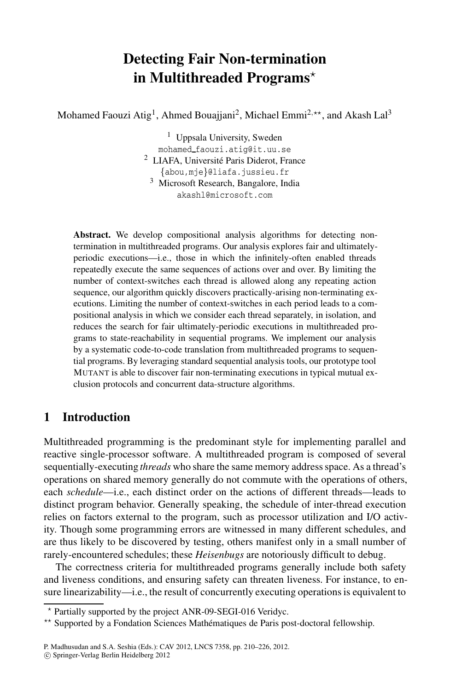# **Detecting Fair Non-termination in Multithreaded Programs**-

Mohamed Faouzi Atig<sup>1</sup>, Ahmed Bouajjani<sup>2</sup>, Michael Emmi<sup>2,\*\*</sup>, and Akash Lal<sup>3</sup>

<sup>1</sup> Uppsala University, Sweden mohamed faouzi.atig@it.uu.se <sup>2</sup> LIAFA, Université Paris Diderot, France *{*abou,mje*}*@liafa.jussieu.fr <sup>3</sup> Microsoft Research, Bangalore, India akashl@microsoft.com

Abstract. We develop compositional analysis algorithms for detecting nontermination in multithreaded programs. Our analysis explores fair and ultimatelyperiodic executions—i.e., those in which the infinitely-often enabled threads repeatedly execute the same sequences of actions over and over. By limiting the number of context-switches each thread is allowed along any repeating action sequence, our algorithm quickly discovers practically-arising non-terminating executions. Limiting the number of context-switches in each period leads to a compositional analysis in which we consider each thread separately, in isolation, and reduces the search for fair ultimately-periodic executions in multithreaded programs to state-reachability in sequential programs. We implement our analysis by a systematic code-to-code translation from multithreaded programs to sequential programs. By leveraging standard sequential analysis tools, our prototype tool MUTANT is able to discover fair non-terminating executions in typical mutual exclusion protocols and concurrent data-structure algorithms.

## **1 Introduction**

Multithreaded programming is the predominant style for implementing parallel and reactive single-processor software. A multithreaded program is composed of several sequentially-executing *threads* who share the same memory address space. As a thread's operations on shared memory generally do not commute with the operations of others, each *schedule*—i.e., each distinct order on the actions of different threads—leads to distinct program behavior. Generally speaking, the schedule of inter-thread execution relies on factors external to the program, such as processor utilization and I/O activity. Though some programming errors are witnessed in many different schedules, and are thus likely to be discovered by testing, others manifest only in a small number of rarely-encountered schedules; these *Heisenbugs* are notoriously difficult to debug.

The correctness criteria for multithreaded programs generally include both safety and liveness conditions, and ensuring safety can threaten liveness. For instance, to ensure linearizability—i.e., the result of concurrently executing operations is equivalent to

-c Springer-Verlag Berlin Heidelberg 2012

<sup>-</sup> Partially supported by the project ANR-09-SEGI-016 Veridyc.

<sup>\*\*</sup> Supported by a Fondation Sciences Mathématiques de Paris post-doctoral fellowship.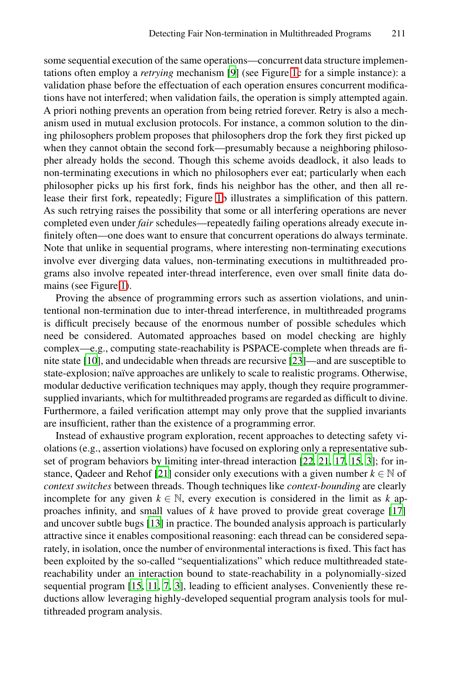some sequential execution of the same operations—concurrent data structure implementations often employ a *retrying* mechanism [\[9](#page-15-0)] (see Figure [1c](#page-2-0) for a simple instance): a validation phase before the effectuation of each operation ensures concurrent modifications have not interfered; when validation fails, the operation is simply attempted again. A priori nothing prevents an operation from being retried forever. Retry is also a mechanism used in mutual exclusion protocols. For instance, a common solution to the dining philosophers problem proposes that philosophers drop the fork they first picked up when they cannot obtain the second fork—presumably because a neighboring philosopher already holds the second. Though this scheme avoids deadlock, it also leads to non-terminating executions in which no philosophers ever eat; particularly when each philosopher picks up his first fork, finds his neighbor has the other, and then all release their first fork, repeatedly; Figure [1b](#page-2-0) illustrates a simplification of this pattern. As such retrying raises the possibility that some or all interfering operations are never completed even under *fair* schedules—repeatedly failing operations already execute infinitely often—one does want to ensure that concurrent operations do always terminate. Note that unlike in sequential programs, where interesting non-terminating executions involve ever diverging data values, non-terminating executions in multithreaded programs also involve repeated inter-thread interference, even over small finite data domains (see Figure [1\)](#page-2-0).

Proving the absence of programming errors such as assertion violations, and unintentional non-termination due to inter-thread interference, in multithreaded programs is difficult precisely because of the enormous number of possible schedules which need be considered. Automated approaches based on model checking are highly complex—e.g., computing state-reachability is PSPACE-complete when threads are finite state [\[10\]](#page-15-1), and undecidable when threads are recursive [\[23](#page-16-0)]—and are susceptible to state-explosion; naïve approaches are unlikely to scale to realistic programs. Otherwise, modular deductive verification techniques may apply, though they require programmersupplied invariants, which for multithreaded programs are regarded as difficult to divine. Furthermore, a failed verification attempt may only prove that the supplied invariants are insufficient, rather than the existence of a programming error.

Instead of exhaustive program exploration, recent approaches to detecting safety violations (e.g., assertion violations) have focused on exploring only a representative subset of program behaviors by limiting inter-thread interaction [\[22](#page-16-1), [21](#page-16-2), [17,](#page-15-2) [15,](#page-15-3) [3](#page-15-4)]; for in-stance, Qadeer and Rehof [\[21\]](#page-16-2) consider only executions with a given number  $k \in \mathbb{N}$  of *context switches* between threads. Though techniques like *context-bounding* are clearly incomplete for any given  $k \in \mathbb{N}$ , every execution is considered in the limit as  $k$  approaches infinity, and small values of *k* have proved to provide great coverage [\[17](#page-15-2)] and uncover subtle bugs [\[13](#page-15-5)] in practice. The bounded analysis approach is particularly attractive since it enables compositional reasoning: each thread can be considered separately, in isolation, once the number of environmental interactions is fixed. This fact has been exploited by the so-called "sequentializations" which reduce multithreaded statereachability under an interaction bound to state-reachability in a polynomially-sized sequential program [\[15](#page-15-3), [11,](#page-15-6) [7](#page-15-7), [3\]](#page-15-4), leading to efficient analyses. Conveniently these reductions allow leveraging highly-developed sequential program analysis tools for multithreaded program analysis.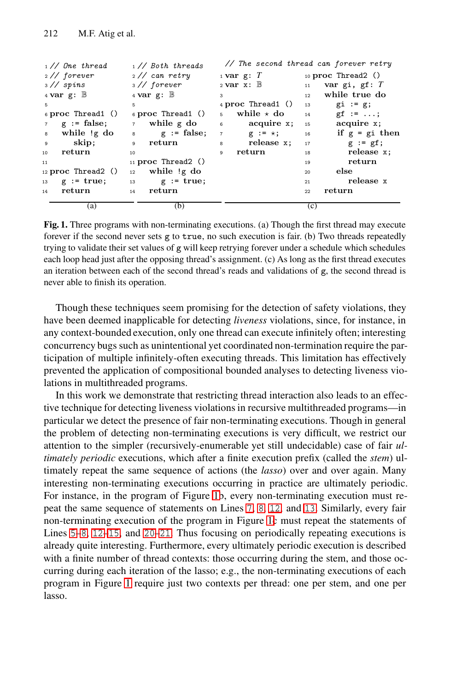<span id="page-2-10"></span><span id="page-2-9"></span><span id="page-2-8"></span><span id="page-2-7"></span><span id="page-2-6"></span><span id="page-2-5"></span><span id="page-2-4"></span><span id="page-2-3"></span><span id="page-2-2"></span><span id="page-2-1"></span><span id="page-2-0"></span>

| $1$ // One thread              | $1$ // Both threads                      |                                  | // The second thread can forever retry           |
|--------------------------------|------------------------------------------|----------------------------------|--------------------------------------------------|
| 2// forever                    | $2$ // can retry                         |                                  | $\Delta$ 1 var g: T $\Delta$ 10 proc Thread 2 () |
| з // spins                     | з // forever                             | $2 \text{ var } x: \mathbb{B}$   | var gi, gf: $T$<br>11                            |
| $4 \text{ var } g: \mathbb{B}$ | $4 \text{ var } g: \mathbb{B}$           | $\mathbf{3}$                     | $_{12}$ while true do                            |
| 5                              | 5.                                       | 4 proc Thread1 ()                | $13 \t g1 := g;$                                 |
| 6 proc Thread ()               | 6 proc Thread1 ()                        | $\mathfrak s$ while $\star$ do   | $14 \text{ gf} := \ldots;$                       |
| $\gamma$ g := false;           | $\frac{1}{7}$ while g do                 | $\epsilon$ acquire x;            | $15$ acquire x;                                  |
| 8 while !g do                  | $g := false;$<br>$\overline{\mathbf{8}}$ | 7 $g := \star;$                  | $_{16}$ if $g = gi$ then                         |
| skip;<br>9                     | 9 return                                 | 8 release x;                     | 17<br>$g := gf;$                                 |
| return<br>10                   | 10                                       | ${\bf return}$<br>9 <sup>1</sup> | release x;<br>18                                 |
| 11                             | 11 $proc$ Thread $()$                    |                                  | return<br>19                                     |
| $_{12}$ proc Thread2 ()        | $_{12}$ while $\lg$ do                   |                                  | else<br>20                                       |
| $13 \quad g := \text{true};$   | $g := true;$<br>13                       |                                  | release x<br>21                                  |
| return<br>14                   | $_{14}$ return                           |                                  | return<br>22                                     |
| (a)                            | (b)                                      |                                  | (c)                                              |

**Fig. 1.** Three programs with non-terminating executions. (a) Though the first thread may execute forever if the second never sets g to true, no such execution is fair. (b) Two threads repeatedly trying to validate their set values of g will keep retrying forever under a schedule which schedules each loop head just after the opposing thread's assignment. (c) As long as the first thread executes an iteration between each of the second thread's reads and validations of g, the second thread is never able to finish its operation.

Though these techniques seem promising for the detection of safety violations, they have been deemed inapplicable for detecting *liveness* violations, since, for instance, in any context-bounded execution, only one thread can execute infinitely often; interesting concurrency bugs such as unintentional yet coordinated non-termination require the participation of multiple infinitely-often executing threads. This limitation has effectively prevented the application of compositional bounded analyses to detecting liveness violations in multithreaded programs.

In this work we demonstrate that restricting thread interaction also leads to an effective technique for detecting liveness violations in recursive multithreaded programs—in particular we detect the presence of fair non-terminating executions. Though in general the problem of detecting non-terminating executions is very difficult, we restrict our attention to the simpler (recursively-enumerable yet still undecidable) case of fair *ultimately periodic* executions, which after a finite execution prefix (called the *stem*) ultimately repeat the same sequence of actions (the *lasso*) over and over again. Many interesting non-terminating executions occurring in practice are ultimately periodic. For instance, in the program of Figure [1b](#page-2-0), every non-terminating execution must repeat the same sequence of statements on Lines [7](#page-2-1), [8](#page-2-2), [12](#page-2-3), and [13](#page-2-4). Similarly, every fair non-terminating execution of the program in Figure [1c](#page-2-0) must repeat the statements of Lines [5](#page-2-5)–[8](#page-2-6), [12](#page-2-7)–[15](#page-2-8), and [20](#page-2-9)–[21](#page-2-10). Thus focusing on periodically repeating executions is already quite interesting. Furthermore, every ultimately periodic execution is described with a finite number of thread contexts: those occurring during the stem, and those occurring during each iteration of the lasso; e.g., the non-terminating executions of each program in Figure [1](#page-2-0) require just two contexts per thread: one per stem, and one per lasso.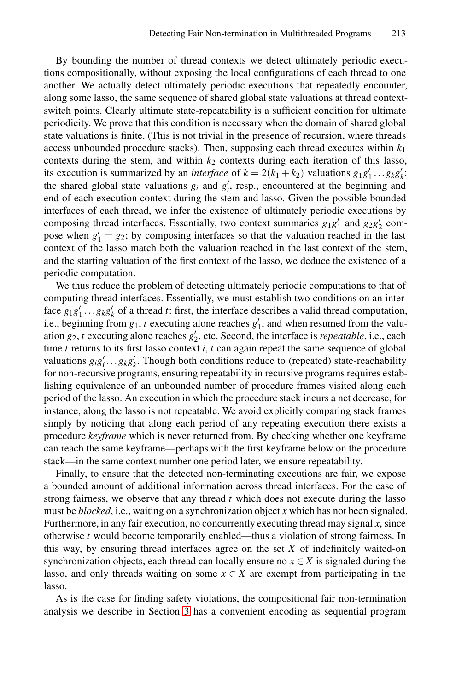By bounding the number of thread contexts we detect ultimately periodic executions compositionally, without exposing the local configurations of each thread to one another. We actually detect ultimately periodic executions that repeatedly encounter, along some lasso, the same sequence of shared global state valuations at thread contextswitch points. Clearly ultimate state-repeatability is a sufficient condition for ultimate periodicity. We prove that this condition is necessary when the domain of shared global state valuations is finite. (This is not trivial in the presence of recursion, where threads access unbounded procedure stacks). Then, supposing each thread executes within *k*<sup>1</sup> contexts during the stem, and within  $k_2$  contexts during each iteration of this lasso, its execution is summarized by an *interface* of  $k = 2(k_1 + k_2)$  valuations  $g_1g'_1 \dots g_kg'_k$ : the shared global state valuations  $g_i$  and  $g'_i$ , resp., encountered at the beginning and end of each execution context during the stem and lasso. Given the possible bounded interfaces of each thread, we infer the existence of ultimately periodic executions by composing thread interfaces. Essentially, two context summaries  $g_1g'_1$  and  $g_2g'_2$  compose when  $g'_1 = g_2$ ; by composing interfaces so that the valuation reached in the last context of the lasso match both the valuation reached in the last context of the stem, and the starting valuation of the first context of the lasso, we deduce the existence of a periodic computation.

We thus reduce the problem of detecting ultimately periodic computations to that of computing thread interfaces. Essentially, we must establish two conditions on an interface  $g_1g'_1 \dots g_kg'_k$  of a thread *t*: first, the interface describes a valid thread computation, i.e., beginning from  $g_1$ , *t* executing alone reaches  $g'_1$ , and when resumed from the valuation  $g_2$ , *t* executing alone reaches  $g'_2$ , etc. Second, the interface is *repeatable*, i.e., each time *t* returns to its first lasso context *i*, *t* can again repeat the same sequence of global valuations  $g_i g'_i \cdots g_k g'_k$ . Though both conditions reduce to (repeated) state-reachability for non-recursive programs, ensuring repeatability in recursive programs requires establishing equivalence of an unbounded number of procedure frames visited along each period of the lasso. An execution in which the procedure stack incurs a net decrease, for instance, along the lasso is not repeatable. We avoid explicitly comparing stack frames simply by noticing that along each period of any repeating execution there exists a procedure *keyframe* which is never returned from. By checking whether one keyframe can reach the same keyframe—perhaps with the first keyframe below on the procedure stack—in the same context number one period later, we ensure repeatability.

Finally, to ensure that the detected non-terminating executions are fair, we expose a bounded amount of additional information across thread interfaces. For the case of strong fairness, we observe that any thread *t* which does not execute during the lasso must be *blocked*, i.e., waiting on a synchronization object *x* which has not been signaled. Furthermore, in any fair execution, no concurrently executing thread may signal *x*, since otherwise *t* would become temporarily enabled—thus a violation of strong fairness. In this way, by ensuring thread interfaces agree on the set *X* of indefinitely waited-on synchronization objects, each thread can locally ensure no  $x \in X$  is signaled during the lasso, and only threads waiting on some  $x \in X$  are exempt from participating in the lasso.

As is the case for finding safety violations, the compositional fair non-termination analysis we describe in Section [3](#page-5-0) has a convenient encoding as sequential program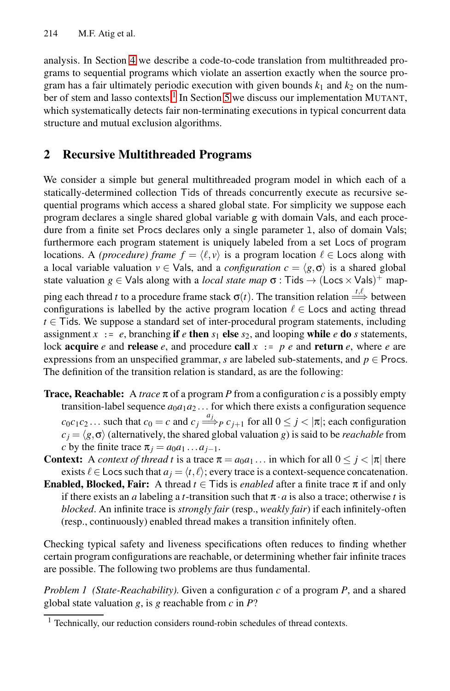<span id="page-4-1"></span>analysis. In Section [4](#page-9-0) we describe a code-to-code translation from multithreaded programs to sequential programs which violate an assertion exactly when the source program has a fair ultimately periodic execution with given bounds  $k_1$  and  $k_2$  on the num-ber of stem and lasso contexts.<sup>[1](#page-4-0)</sup> In Section [5](#page-10-0) we discuss our implementation MUTANT, which systematically detects fair non-terminating executions in typical concurrent data structure and mutual exclusion algorithms.

## **2 Recursive Multithreaded Programs**

We consider a simple but general multithreaded program model in which each of a statically-determined collection Tids of threads concurrently execute as recursive sequential programs which access a shared global state. For simplicity we suppose each program declares a single shared global variable g with domain Vals, and each procedure from a finite set Procs declares only a single parameter 1, also of domain Vals; furthermore each program statement is uniquely labeled from a set Locs of program locations. A *(procedure) frame*  $f = \langle \ell, v \rangle$  is a program location  $\ell \in \text{Locs along with}$ a local variable valuation  $v \in V$ als, and a *configuration*  $c = \langle g, \sigma \rangle$  is a shared global state valuation *g*  $\in$  Vals along with a *local state map*  $\sigma$ : Tids  $\rightarrow$  (Locs  $\times$  Vals)<sup>+</sup> mapping each thread *t* to a procedure frame stack  $\sigma(t)$ . The transition relation  $\stackrel{t,\ell}{\Longrightarrow}$  between configurations is labelled by the active program location  $\ell \in$  Locs and acting thread *t* ∈ Tids. We suppose a standard set of inter-procedural program statements, including assignment  $x := e$ , branching **if**  $e$  **then**  $s_1$  **else**  $s_2$ , and looping **while**  $e$  **do**  $s$  statements, lock **acquire** *e* and **release** *e*, and procedure **call**  $x := p e$  and **return** *e*, where *e* are expressions from an unspecified grammar, *s* are labeled sub-statements, and  $p \in$  Procs. The definition of the transition relation is standard, as are the following:

- **Trace, Reachable:** A *trace* π of a program *P* from a configuration *c* is a possibly empty transition-label sequence  $a_0a_1a_2...$  for which there exists a configuration sequence  $c_0c_1c_2...$  such that  $c_0 = c$  and  $c_j \stackrel{a_j}{\Longrightarrow} p c_{j+1}$  for all  $0 \le j < |\pi|$ ; each configuration  $c_j = \langle g, \sigma \rangle$  (alternatively, the shared global valuation *g*) is said to be *reachable* from *c* by the finite trace  $\pi_i = a_0 a_1 \dots a_{i-1}$ .
- **Context:** A *context of thread t* is a trace  $\pi = a_0a_1...$  in which for all  $0 \le j < |\pi|$  there exists  $\ell \in \text{Locs}$  such that  $a_j = \langle t, \ell \rangle$ ; every trace is a context-sequence concatenation.
- **Enabled, Blocked, Fair:** A thread  $t \in$  Tids is *enabled* after a finite trace  $\pi$  if and only if there exists an *a* labeling a *t*-transition such that  $\pi \cdot a$  is also a trace; otherwise *t* is *blocked*. An infinite trace is *strongly fair* (resp., *weakly fair*) if each infinitely-often (resp., continuously) enabled thread makes a transition infinitely often.

<span id="page-4-0"></span>Checking typical safety and liveness specifications often reduces to finding whether certain program configurations are reachable, or determining whether fair infinite traces are possible. The following two problems are thus fundamental.

*Problem 1 (State-Reachability).* Given a configuration *c* of a program *P*, and a shared global state valuation *g*, is *g* reachable from *c* in *P*?

<sup>&</sup>lt;sup>1</sup> Technically, our reduction considers round-robin schedules of thread contexts.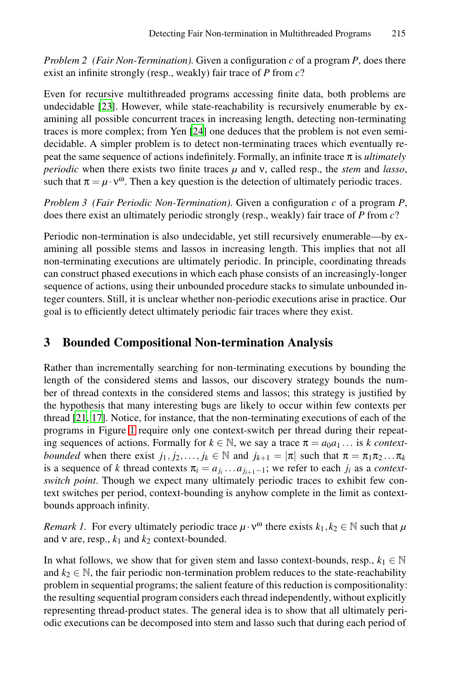*Problem 2 (Fair Non-Termination).* Given a configuration *c* of a program *P*, does there exist an infinite strongly (resp., weakly) fair trace of *P* from *c*?

Even for recursive multithreaded programs accessing finite data, both problems are undecidable [\[23\]](#page-16-0). However, while state-reachability is recursively enumerable by examining all possible concurrent traces in increasing length, detecting non-terminating traces is more complex; from Yen [\[24](#page-16-3)] one deduces that the problem is not even semidecidable. A simpler problem is to detect non-terminating traces which eventually repeat the same sequence of actions indefinitely. Formally, an infinite trace π is *ultimately periodic* when there exists two finite traces *µ* and ν, called resp., the *stem* and *lasso*, such that  $\pi = \mu \cdot v^{\omega}$ . Then a key question is the detection of ultimately periodic traces.

*Problem 3 (Fair Periodic Non-Termination).* Given a configuration *c* of a program *P*, does there exist an ultimately periodic strongly (resp., weakly) fair trace of *P* from *c*?

<span id="page-5-0"></span>Periodic non-termination is also undecidable, yet still recursively enumerable—by examining all possible stems and lassos in increasing length. This implies that not all non-terminating executions are ultimately periodic. In principle, coordinating threads can construct phased executions in which each phase consists of an increasingly-longer sequence of actions, using their unbounded procedure stacks to simulate unbounded integer counters. Still, it is unclear whether non-periodic executions arise in practice. Our goal is to efficiently detect ultimately periodic fair traces where they exist.

## **3 Bounded Compositional Non-termination Analysis**

Rather than incrementally searching for non-terminating executions by bounding the length of the considered stems and lassos, our discovery strategy bounds the number of thread contexts in the considered stems and lassos; this strategy is justified by the hypothesis that many interesting bugs are likely to occur within few contexts per thread [\[21,](#page-16-2) [17\]](#page-15-2). Notice, for instance, that the non-terminating executions of each of the programs in Figure [1](#page-2-0) require only one context-switch per thread during their repeating sequences of actions. Formally for  $k \in \mathbb{N}$ , we say a trace  $\pi = a_0 a_1 \dots$  is *k contextbounded* when there exist  $j_1, j_2, \ldots, j_k \in \mathbb{N}$  and  $j_{k+1} = |\pi|$  such that  $\pi = \pi_1 \pi_2 \ldots \pi_k$ is a sequence of *k* thread contexts  $\pi_i = a_{j_i} \dots a_{j_{i+1}-1}$ ; we refer to each  $j_i$  as a *contextswitch point*. Though we expect many ultimately periodic traces to exhibit few context switches per period, context-bounding is anyhow complete in the limit as contextbounds approach infinity.

*Remark 1.* For every ultimately periodic trace  $\mu \cdot v^{\omega}$  there exists  $k_1, k_2 \in \mathbb{N}$  such that  $\mu$ and  $\nu$  are, resp.,  $k_1$  and  $k_2$  context-bounded.

In what follows, we show that for given stem and lasso context-bounds, resp.,  $k_1 \in \mathbb{N}$ and  $k_2 \in \mathbb{N}$ , the fair periodic non-termination problem reduces to the state-reachability problem in sequential programs; the salient feature of this reduction is compositionality: the resulting sequential program considers each thread independently, without explicitly representing thread-product states. The general idea is to show that all ultimately periodic executions can be decomposed into stem and lasso such that during each period of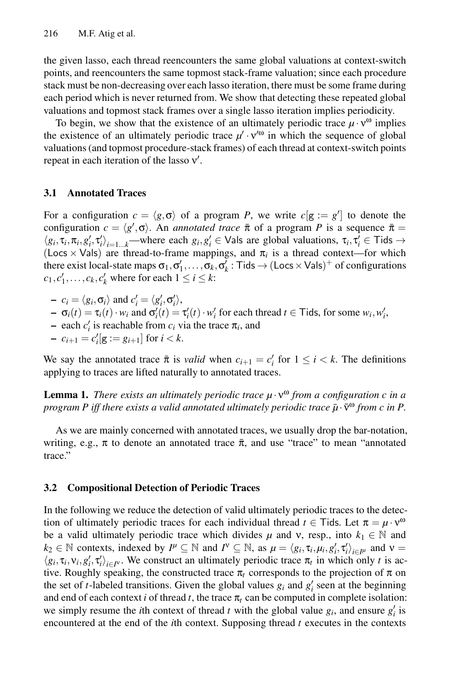the given lasso, each thread reencounters the same global valuations at context-switch points, and reencounters the same topmost stack-frame valuation; since each procedure stack must be non-decreasing over each lasso iteration, there must be some frame during each period which is never returned from. We show that detecting these repeated global valuations and topmost stack frames over a single lasso iteration implies periodicity.

To begin, we show that the existence of an ultimately periodic trace  $\mu \cdot v^{\omega}$  implies the existence of an ultimately periodic trace  $\mu' \cdot v'^{\omega}$  in which the sequence of global valuations (and topmost procedure-stack frames) of each thread at context-switch points repeat in each iteration of the lasso ν .

#### **3.1 Annotated Traces**

For a configuration  $c = \langle g, \sigma \rangle$  of a program *P*, we write  $c[g := g']$  to denote the configuration  $c = \langle g', \sigma \rangle$ . An *annotated trace*  $\bar{\pi}$  of a program *P* is a sequence  $\bar{\pi} =$  $\langle g_i, \tau_i, \pi_i, g'_i, \tau'_i \rangle_{i=1...k}$ —where each  $g_i, g'_i \in V$ als are global valuations,  $\tau_i, \tau'_i \in T$ ids  $\rightarrow$ (Locs  $\times$  Vals) are thread-to-frame mappings, and  $\pi$ <sub>*i*</sub> is a thread context—for which there exist local-state maps  $\sigma_1, \sigma'_1, \ldots, \sigma_k, \sigma'_k$ : Tids  $\to$  (Locs  $\times$  Vals)<sup>+</sup> of configurations  $c_1, c'_1, \ldots, c_k, c'_k$  where for each  $1 \le i \le k$ :

- **–**  $c_i = \langle g_i, \sigma_i \rangle$  and  $c'_i = \langle g'_i, \sigma'_i \rangle$ ,
- $\sigma_i(t) = \tau_i(t) \cdot w_i$  and  $\sigma'_i(t) = \tau'_i(t) \cdot w'_i$  for each thread  $t \in \text{Tids, for some } w_i, w'_i$ ,
- **–** each  $c_i'$  is reachable from  $c_i$  via the trace  $\pi_i$ , and
- $-c_{i+1} = c'_i[g := g_{i+1}]$  for  $i < k$ .

We say the annotated trace  $\bar{\pi}$  is *valid* when  $c_{i+1} = c'_i$  for  $1 \leq i \leq k$ . The definitions applying to traces are lifted naturally to annotated traces.

<span id="page-6-0"></span>**Lemma 1.** *There exists an ultimately periodic trace*  $\mu \cdot v^{\omega}$  *from a configuration c in a program P iff there exists a valid annotated ultimately periodic trace*  $\bar{\mu} \cdot \bar{v}^{\omega}$  *from c in P.* 

As we are mainly concerned with annotated traces, we usually drop the bar-notation, writing, e.g.,  $\pi$  to denote an annotated trace  $\bar{\pi}$ , and use "trace" to mean "annotated trace."

#### **3.2 Compositional Detection of Periodic Traces**

In the following we reduce the detection of valid ultimately periodic traces to the detection of ultimately periodic traces for each individual thread  $t \in T$ ids. Let  $\pi = \mu \cdot v^{\omega}$ be a valid ultimately periodic trace which divides  $\mu$  and  $\nu$ , resp., into  $k_1 \in \mathbb{N}$  and  $k_2 \in \mathbb{N}$  contexts, indexed by  $I^{\mu} \subseteq \mathbb{N}$  and  $I^{\nu} \subseteq \mathbb{N}$ , as  $\mu = \langle g_i, \tau_i, \mu_i, g'_i, \tau'_i \rangle_{i \in I^{\mu}}$  and  $\nu =$  $\langle g_i, \tau_i, v_i, g'_i, \tau'_i \rangle_{i \in I^v}$ . We construct an ultimately periodic trace  $\pi_t$  in which only *t* is active. Roughly speaking, the constructed trace  $\pi_t$  corresponds to the projection of  $\pi$  on the set of *t*-labeled transitions. Given the global values  $g_i$  and  $g'_i$  seen at the beginning and end of each context *i* of thread *t*, the trace  $\pi$ <sub>*t*</sub> can be computed in complete isolation: we simply resume the *i*th context of thread *t* with the global value  $g_i$ , and ensure  $g'_i$  is encountered at the end of the *i*th context. Supposing thread *t* executes in the contexts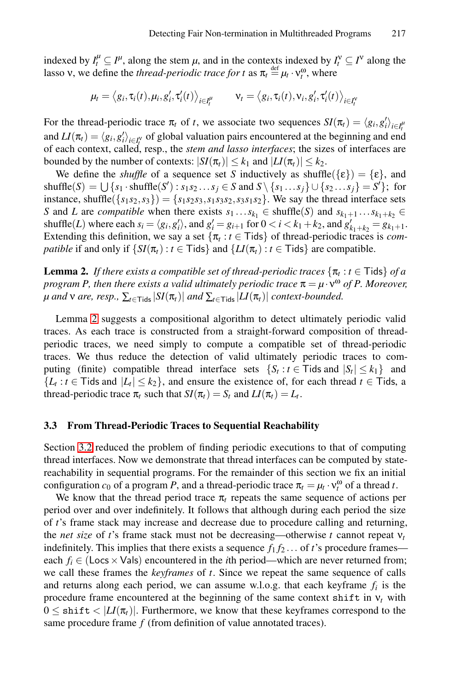indexed by  $I_t^{\mu} \subseteq I^{\mu}$ , along the stem  $\mu$ , and in the contexts indexed by  $I_t^{\nu} \subseteq I^{\nu}$  along the lasso v, we define the *thread-periodic trace for t* as  $\pi_t \stackrel{\text{def}}{=} \mu_t \cdot v_t^{\omega}$ , where

<span id="page-7-0"></span>
$$
\mu_l = \langle g_i, \tau_i(t), \mu_i, g'_i, \tau'_i(t) \rangle_{i \in I_l^H} \qquad \mathbf{v}_t = \langle g_i, \tau_i(t), \mathbf{v}_i, g'_i, \tau'_i(t) \rangle_{i \in I_l^V}
$$

For the thread-periodic trace  $\pi_t$  of *t*, we associate two sequences  $SI(\pi_t) = \langle g_i, g'_i \rangle_{i \in I_t^h}$ and  $LI(\pi_t) = \langle g_i, g'_i \rangle_{i \in I_t^{\gamma}}$  of global valuation pairs encountered at the beginning and end of each context, called, resp., the *stem and lasso interfaces*; the sizes of interfaces are bounded by the number of contexts:  $|SI(\pi_t)| \leq k_1$  and  $|LI(\pi_t)| \leq k_2$ .

We define the *shuffle* of a sequence set *S* inductively as shuffle $({\{\epsilon\}}) = {\{\epsilon\}}$ , and  $\text{shuffle}(S) = \bigcup \{s_1 \cdot \text{shuffle}(S') : s_1 s_2 \dots s_j \in S \text{ and } S \setminus \{s_1 \dots s_j\} \cup \{s_2 \dots s_j\} = S' \}; \text{ for }$ instance, shuffle({ $s_1 s_2, s_3$ }) = { $s_1 s_2 s_3, s_1 s_3 s_2, s_3 s_1 s_2$ }. We say the thread interface sets *S* and *L* are *compatible* when there exists  $s_1 \tldots s_{k_1} \tildot s_k$  and  $s_{k_1+1} \tldots s_{k_1+k_2} \tildot s_k$ shuffle(*L*) where each  $s_i = \langle g_i, g'_i \rangle$ , and  $g'_i = g_{i+1}$  for  $0 < i < k_1 + k_2$ , and  $g'_{k_1 + k_2} = g_{k_1 + 1}$ . Extending this definition, we say a set  $\{\pi_t : t \in \text{Tids}\}\$  of thread-periodic traces is *compatible* if and only if  $\{SI(\pi_t): t \in \text{Tids}\}\$  and  $\{LI(\pi_t): t \in \text{Tids}\}\$  are compatible.

**Lemma 2.** *If there exists a compatible set of thread-periodic traces*  $\{\pi_t : t \in \text{Tids}\}$  *of a program P, then there exists a valid ultimately periodic trace*  $\pi = \mu \cdot v^{\omega}$  *of P. Moreover,*  $\mu$  *and*  $\nu$  *are, resp.,*  $\sum_{t \in \text{Tids}} |SI(\pi_t)|$  *and*  $\sum_{t \in \text{Tids}} |LI(\pi_t)|$  *context-bounded.* 

Lemma [2](#page-7-0) suggests a compositional algorithm to detect ultimately periodic valid traces. As each trace is constructed from a straight-forward composition of threadperiodic traces, we need simply to compute a compatible set of thread-periodic traces. We thus reduce the detection of valid ultimately periodic traces to computing (finite) compatible thread interface sets  $\{S_t : t \in \mathsf{Tids} \text{ and } |S_t| \leq k_1\}$  and  ${L_t : t \in T$ ids and  $|L_t| \le k_2$ , and ensure the existence of, for each thread  $t \in T$ ids, a thread-periodic trace  $\pi_t$  such that  $SI(\pi_t) = S_t$  and  $LI(\pi_t) = L_t$ .

#### **3.3 From Thread-Periodic Traces to Sequential Reachability**

Section [3.2](#page-6-0) reduced the problem of finding periodic executions to that of computing thread interfaces. Now we demonstrate that thread interfaces can be computed by statereachability in sequential programs. For the remainder of this section we fix an initial configuration  $c_0$  of a program *P*, and a thread-periodic trace  $\pi_t = \mu_t \cdot v_t^{\omega}$  of a thread *t*.

We know that the thread period trace  $\pi_t$  repeats the same sequence of actions per period over and over indefinitely. It follows that although during each period the size of *t*'s frame stack may increase and decrease due to procedure calling and returning, the *net size* of *t*'s frame stack must not be decreasing—otherwise *t* cannot repeat ν*<sup>t</sup>* indefinitely. This implies that there exists a sequence  $f_1 f_2 \ldots$  of *t*'s procedure frames each  $f_i \in ($ Locs  $\times$  Vals) encountered in the *i*th period—which are never returned from; we call these frames the *keyframes* of *t*. Since we repeat the same sequence of calls and returns along each period, we can assume w.l.o.g. that each keyframe  $f_i$  is the procedure frame encountered at the beginning of the same context shift in  $v_t$  with  $0 \leq \text{shift} < |L(\pi_t)|$ . Furthermore, we know that these keyframes correspond to the same procedure frame *f* (from definition of value annotated traces).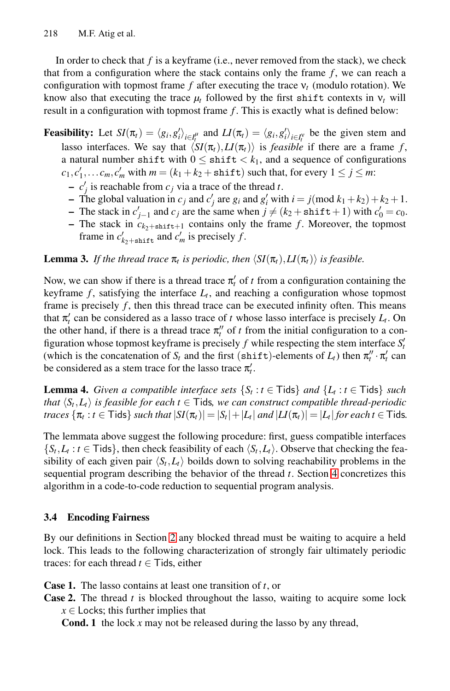In order to check that  $f$  is a keyframe (i.e., never removed from the stack), we check that from a configuration where the stack contains only the frame  $f$ , we can reach a configuration with topmost frame  $f$  after executing the trace  $v_t$  (modulo rotation). We know also that executing the trace  $\mu_t$  followed by the first shift contexts in  $v_t$  will result in a configuration with topmost frame *f*. This is exactly what is defined below:

**Feasibility:** Let  $SI(\pi_t) = \langle g_i, g'_i \rangle_{i \in I_t^{\mu}}$  and  $LI(\pi_t) = \langle g_i, g'_i \rangle_{i \in I_t^{\nu}}$  be the given stem and lasso interfaces. We say that  $\langle SI(\pi_t), LI(\pi_t) \rangle$  is *feasible* if there are a frame *f*, a natural number shift with  $0 \leq \text{shift} < k_1$ , and a sequence of configurations  $c_1, c'_1, \ldots c_m, c'_m$  with  $m = (k_1 + k_2 + \texttt{shift})$  such that, for every  $1 \le j \le m$ :

- $-c'_j$  is reachable from  $c_j$  via a trace of the thread *t*.
- **–** The global valuation in  $c_j$  and  $c'_j$  are  $g_i$  and  $g'_i$  with  $i = j \text{ (mod } k_1 + k_2) + k_2 + 1$ .
- **−** The stack in  $c'_{j-1}$  and  $c_j$  are the same when  $j \neq (k_2 + \text{shift} + 1)$  with  $c'_0 = c_0$ .
- **–** The stack in  $c_{k_2 + \text{shift}+1}$  contains only the frame *f*. Moreover, the topmost frame in  $c'_{k_2 + \text{shift}}$  and  $c'_m$  is precisely  $f$ .

**Lemma 3.** *If the thread trace*  $\pi_t$  *is periodic, then*  $\langle SI(\pi_t), LI(\pi_t) \rangle$  *is feasible.* 

Now, we can show if there is a thread trace  $\pi_t'$  of *t* from a configuration containing the keyframe  $f$ , satisfying the interface  $L_t$ , and reaching a configuration whose topmost frame is precisely  $f$ , then this thread trace can be executed infinity often. This means that  $\pi'_t$  can be considered as a lasso trace of *t* whose lasso interface is precisely  $L_t$ . On the other hand, if there is a thread trace  $\pi_t''$  of *t* from the initial configuration to a configuration whose topmost keyframe is precisely  $f$  while respecting the stem interface  $S_t^l$ (which is the concatenation of  $S_t$  and the first (shift)-elements of  $L_t$ ) then  $\pi_t'' \cdot \pi_t'$  can be considered as a stem trace for the lasso trace  $\pi'_t$ .

**Lemma 4.** *Given a compatible interface sets*  $\{S_t : t \in \text{Tids}\}\$  *and*  $\{L_t : t \in \text{Tids}\}\$  *such that*  $\langle S_t, L_t \rangle$  *is feasible for each t*  $\in$  Tids, we can construct compatible thread-periodic *traces*  $\{\pi_t : t \in \text{Tids}\}\$  *such that*  $|SI(\pi_t)| = |S_t| + |L_t|$  *and*  $|LI(\pi_t)| = |L_t|$  *for each t*  $\in \text{Tids}$ *.* 

<span id="page-8-0"></span>The lemmata above suggest the following procedure: first, guess compatible interfaces  ${S_t, L_t : t \in Tids}$ , then check feasibility of each  $\langle S_t, L_t \rangle$ . Observe that checking the feasibility of each given pair  $\langle S_t, L_t \rangle$  boilds down to solving reachability problems in the sequential program describing the behavior of the thread *t*. Section [4](#page-9-0) concretizes this algorithm in a code-to-code reduction to sequential program analysis.

### **3.4 Encoding Fairness**

By our definitions in Section [2](#page-4-1) any blocked thread must be waiting to acquire a held lock. This leads to the following characterization of strongly fair ultimately periodic traces: for each thread  $t \in T$ ids, either

**Case 1.** The lasso contains at least one transition of *t*, or

**Case 2.** The thread *t* is blocked throughout the lasso, waiting to acquire some lock  $x \in$  Locks; this further implies that

**Cond. 1** the lock *x* may not be released during the lasso by any thread,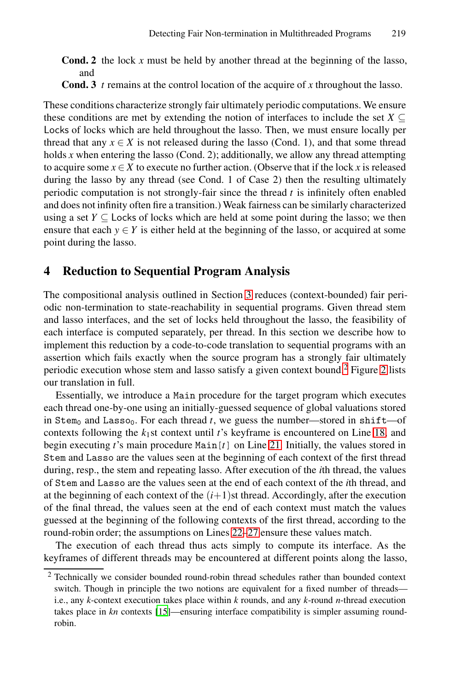- **Cond. 2** the lock *x* must be held by another thread at the beginning of the lasso, and
- **Cond. 3** *t* remains at the control location of the acquire of *x* throughout the lasso.

<span id="page-9-0"></span>These conditions characterize strongly fair ultimately periodic computations. We ensure these conditions are met by extending the notion of interfaces to include the set  $X \subseteq$ Locks of locks which are held throughout the lasso. Then, we must ensure locally per thread that any  $x \in X$  is not released during the lasso (Cond. 1), and that some thread holds *x* when entering the lasso (Cond. 2); additionally, we allow any thread attempting to acquire some  $x \in X$  to execute no further action. (Observe that if the lock x is released during the lasso by any thread (see Cond. 1 of Case 2) then the resulting ultimately periodic computation is not strongly-fair since the thread *t* is infinitely often enabled and does not infinity often fire a transition.) Weak fairness can be similarly characterized using a set  $Y \subseteq$  Locks of locks which are held at some point during the lasso; we then ensure that each  $y \in Y$  is either held at the beginning of the lasso, or acquired at some point during the lasso.

#### **4 Reduction to Sequential Program Analysis**

The compositional analysis outlined in Section [3](#page-5-0) reduces (context-bounded) fair periodic non-termination to state-reachability in sequential programs. Given thread stem and lasso interfaces, and the set of locks held throughout the lasso, the feasibility of each interface is computed separately, per thread. In this section we describe how to implement this reduction by a code-to-code translation to sequential programs with an assertion which fails exactly when the source program has a strongly fair ultimately periodic execution whose stem and lasso satisfy a given context bound.[2](#page-9-1) Figure [2](#page-11-0) lists our translation in full.

Essentially, we introduce a Main procedure for the target program which executes each thread one-by-one using an initially-guessed sequence of global valuations stored in Stem<sub>0</sub> and Lasso<sub>0</sub>. For each thread  $t$ , we guess the number—stored in shift—of contexts following the *k*1st context until *t*'s keyframe is encountered on Line [18,](#page-11-1) and begin executing *t*'s main procedure Main[*t*] on Line [21.](#page-11-2) Initially, the values stored in Stem and Lasso are the values seen at the beginning of each context of the first thread during, resp., the stem and repeating lasso. After execution of the *i*th thread, the values of Stem and Lasso are the values seen at the end of each context of the *i*th thread, and at the beginning of each context of the  $(i+1)$ st thread. Accordingly, after the execution of the final thread, the values seen at the end of each context must match the values guessed at the beginning of the following contexts of the first thread, according to the round-robin order; the assumptions on Lines [22–](#page-11-3)[27](#page-11-4) ensure these values match.

<span id="page-9-1"></span>The execution of each thread thus acts simply to compute its interface. As the keyframes of different threads may be encountered at different points along the lasso,

 $2$  Technically we consider bounded round-robin thread schedules rather than bounded context switch. Though in principle the two notions are equivalent for a fixed number of threads i.e., any *k*-context execution takes place within *k* rounds, and any *k*-round *n*-thread execution takes place in *kn* contexts [\[15](#page-15-3)]—ensuring interface compatibility is simpler assuming roundrobin.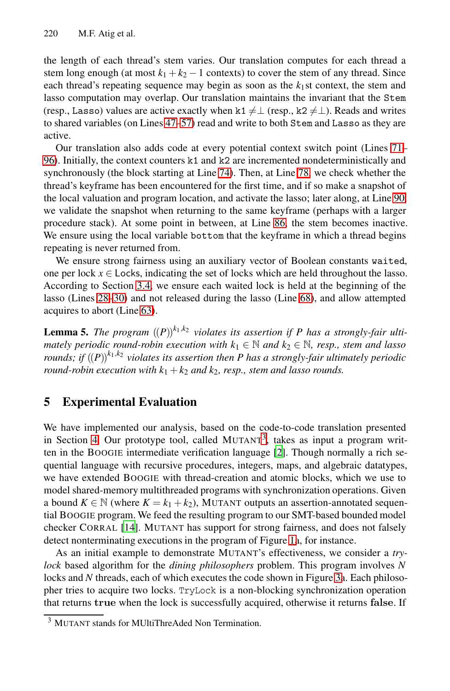the length of each thread's stem varies. Our translation computes for each thread a stem long enough (at most  $k_1 + k_2 - 1$  contexts) to cover the stem of any thread. Since each thread's repeating sequence may begin as soon as the *k*1st context, the stem and lasso computation may overlap. Our translation maintains the invariant that the Stem (resp., Lasso) values are active exactly when  $k1 \neq \perp$  (resp.,  $k2 \neq \perp$ ). Reads and writes to shared variables (on Lines [47](#page-11-5)[–57\)](#page-11-6) read and write to both Stem and Lasso as they are active.

Our translation also adds code at every potential context switch point (Lines [71–](#page-11-7) [96\)](#page-11-8). Initially, the context counters  $k1$  and  $k2$  are incremented nondeterministically and synchronously (the block starting at Line [74\)](#page-11-9). Then, at Line [78,](#page-11-10) we check whether the thread's keyframe has been encountered for the first time, and if so make a snapshot of the local valuation and program location, and activate the lasso; later along, at Line [90,](#page-11-11) we validate the snapshot when returning to the same keyframe (perhaps with a larger procedure stack). At some point in between, at Line [86,](#page-11-12) the stem becomes inactive. We ensure using the local variable bottom that the keyframe in which a thread begins repeating is never returned from.

<span id="page-10-0"></span>We ensure strong fairness using an auxiliary vector of Boolean constants waited, one per lock  $x \in$  Locks, indicating the set of locks which are held throughout the lasso. According to Section [3.4,](#page-8-0) we ensure each waited lock is held at the beginning of the lasso (Lines [28–](#page-11-13)[30\)](#page-11-14) and not released during the lasso (Line [68\)](#page-11-15), and allow attempted acquires to abort (Line [63\)](#page-11-16).

**Lemma 5.** *The program*  $((P))^{k_1,k_2}$  *violates its assertion if P has a strongly-fair ultimately periodic round-robin execution with*  $k_1 \in \mathbb{N}$  *and*  $k_2 \in \mathbb{N}$ *, resp., stem and lasso rounds; if*  $((P))^{k_1,k_2}$  *violates its assertion then P has a strongly-fair ultimately periodic round-robin execution with*  $k_1 + k_2$  *and*  $k_2$ *, resp., stem and lasso rounds.* 

## **5 Experimental Evaluation**

We have implemented our analysis, based on the code-to-code translation presented in Section [4.](#page-9-0) Our prototype tool, called  $MUTANT<sup>3</sup>$  $MUTANT<sup>3</sup>$  $MUTANT<sup>3</sup>$ , takes as input a program written in the BOOGIE intermediate verification language [\[2](#page-15-8)]. Though normally a rich sequential language with recursive procedures, integers, maps, and algebraic datatypes, we have extended BOOGIE with thread-creation and atomic blocks, which we use to model shared-memory multithreaded programs with synchronization operations. Given a bound  $K \in \mathbb{N}$  (where  $K = k_1 + k_2$ ), MUTANT outputs an assertion-annotated sequential BOOGIE program. We feed the resulting program to our SMT-based bounded model checker CORRAL [\[14\]](#page-15-9). MUTANT has support for strong fairness, and does not falsely detect nonterminating executions in the program of Figure [1a](#page-2-0), for instance.

<span id="page-10-1"></span>As an initial example to demonstrate MUTANT's effectiveness, we consider a *trylock* based algorithm for the *dining philosophers* problem. This program involves *N* locks and *N* threads, each of which executes the code shown in Figure [3a](#page-12-0). Each philosopher tries to acquire two locks. TryLock is a non-blocking synchronization operation that returns **true** when the lock is successfully acquired, otherwise it returns **false**. If

<sup>&</sup>lt;sup>3</sup> MUTANT stands for MUltiThreAded Non Termination.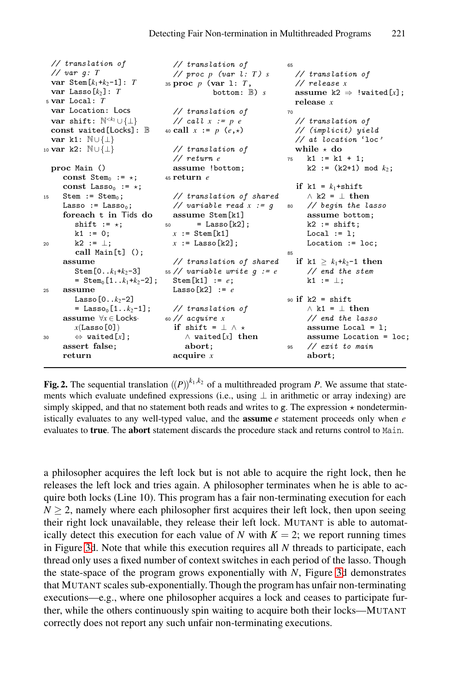<span id="page-11-15"></span><span id="page-11-12"></span><span id="page-11-11"></span><span id="page-11-10"></span><span id="page-11-9"></span><span id="page-11-7"></span><span id="page-11-6"></span><span id="page-11-5"></span><span id="page-11-4"></span><span id="page-11-3"></span><span id="page-11-2"></span><span id="page-11-1"></span>

|                                      | // translation of                                 | // translation of               | 65 |                                      |  |  |  |
|--------------------------------------|---------------------------------------------------|---------------------------------|----|--------------------------------------|--|--|--|
|                                      | // var q: T                                       | // proc $p$ (var $l: T$ ) s     |    | $//$ translation of                  |  |  |  |
| var $Stem[k_1+k_2-1]: T$             |                                                   | 35 proc $p$ (var 1: $T$ ,       |    | $\frac{1}{\sqrt{2}}$ release x       |  |  |  |
|                                      | var Lasso $[k_2]$ : T                             | bottom: $\mathbb{B}$ ) s        |    | assume $k2 \Rightarrow$ !waited [x]; |  |  |  |
|                                      | $5$ var Local: $T$                                |                                 |    | release $x$                          |  |  |  |
|                                      | var Location: Locs                                | // translation of               | 70 |                                      |  |  |  |
|                                      | var shift: $\mathbb{N}^{\leq k_2} \cup \{\perp\}$ | // call $x := p e$              |    | $//$ translation of                  |  |  |  |
|                                      | const waited [Locks] : $\mathbb B$                | 40 call $x := p(e, \star)$      |    | // (implicit) yield                  |  |  |  |
|                                      | var k1: $\mathbb{N} \cup \{\perp\}$               |                                 |    | $//$ at location 'loc'               |  |  |  |
| 10 var k2: $\mathbb{N}\cup\{\perp\}$ |                                                   | // translation of               |    | while $\star$ do                     |  |  |  |
|                                      |                                                   | $//$ return $e$                 | 75 | $k1 := k1 + 1;$                      |  |  |  |
|                                      | proc Main ()                                      | assume !bottom;                 |    | k2 := $(k2+1)$ mod $k_2$ ;           |  |  |  |
|                                      | const Stem <sub>0</sub> := $\star$ ;              | $45$ return $e$                 |    |                                      |  |  |  |
|                                      | const Lasso <sub>0</sub> := $\star$ ;             |                                 |    | if $k1 = k_1 + shift$                |  |  |  |
| 15                                   | Stem := $Stem_0$ ;                                | // translation of shared        |    | $\wedge$ k2 = $\perp$ then           |  |  |  |
|                                      | Lasso := $Lasso0$ ;                               | // variable read $x := q$       | 80 | $//$ begin the lasso                 |  |  |  |
|                                      | foreach t in Tids do                              | assume Stem [k1]                |    | assume bottom;                       |  |  |  |
|                                      | shift $:=$ $\star$ ;                              | $=$ Lasso $[k2]$ ;<br>50        |    | $k2 := shift;$                       |  |  |  |
|                                      | $k1 := 0;$                                        | $x :=$ Stem [k1]                |    | $Local := 1;$                        |  |  |  |
| 20                                   | $k2 := \perp$ ;                                   | $x :=$ Lasso [k2];              |    | Location $:=$ loc;                   |  |  |  |
|                                      | call $Main[t]()$ ;                                |                                 | 85 |                                      |  |  |  |
|                                      | assume                                            | // translation of shared        |    | if $k1 \geq k_1+k_2-1$ then          |  |  |  |
|                                      | Stem $[0k_1+k_2-3]$                               | $55$ // variable write $q := e$ |    | $\frac{1}{\ell}$ end the stem        |  |  |  |
|                                      | = $\text{Stem}_0[1 \dots k_1+k_2-2]$ ;            | Stem[k1] $:= e;$                |    | k1 := $\perp$ ;                      |  |  |  |
| 25                                   | assume                                            | Lasso[k2] $:= e$                |    |                                      |  |  |  |
|                                      | Lasso $[0k_2-2]$                                  |                                 |    | $90$ if $k2 =$ shift                 |  |  |  |
|                                      | = Lasso <sub>0</sub> [1k <sub>2</sub> -1];        | $//$ translation of             |    | $\wedge$ k1 = $\perp$ then           |  |  |  |
|                                      | assume $\forall x \in$ Locks.                     | $60$ // acquire x               |    | $//$ end the lasso                   |  |  |  |
|                                      | $x($ Lasso $[0]$ )                                | if shift = $\perp \wedge *$     |    | assume Local = $1$ ;                 |  |  |  |
| 30                                   | $\Leftrightarrow$ waited[x];                      | $\wedge$ waited [x] then        |    | $assume$ Location = $loc;$           |  |  |  |
|                                      | assert false;                                     | abort;                          | 95 | $\frac{1}{\ell}$ exit to main        |  |  |  |
|                                      | return                                            | acquire x                       |    | abort;                               |  |  |  |
|                                      |                                                   |                                 |    |                                      |  |  |  |

<span id="page-11-16"></span><span id="page-11-14"></span><span id="page-11-13"></span><span id="page-11-8"></span><span id="page-11-0"></span>**Fig. 2.** The sequential translation  $((P))^{k_1,k_2}$  of a multithreaded program *P*. We assume that statements which evaluate undefined expressions (i.e., using  $\perp$  in arithmetic or array indexing) are simply skipped, and that no statement both reads and writes to g. The expression  $\star$  nondetermin-<br>istically evaluates to any well-typed value, and the assume estatement proceeds only when e istically evaluates to any well-typed value, and the **assume** *e* statement proceeds only when *e* evaluates to **true**. The **abort** statement discards the procedure stack and returns control to Main.

a philosopher acquires the left lock but is not able to acquire the right lock, then he releases the left lock and tries again. A philosopher terminates when he is able to acquire both locks (Line 10). This program has a fair non-terminating execution for each  $N > 2$ , namely where each philosopher first acquires their left lock, then upon seeing their right lock unavailable, they release their left lock. MUTANT is able to automatically detect this execution for each value of *N* with  $K = 2$ ; we report running times in Figure [3d](#page-12-0). Note that while this execution requires all *N* threads to participate, each thread only uses a fixed number of context switches in each period of the lasso. Though the state-space of the program grows exponentially with *N*, Figure [3d](#page-12-0) demonstrates that MUTANT scales sub-exponentially. Though the program has unfair non-terminating executions—e.g., where one philosopher acquires a lock and ceases to participate further, while the others continuously spin waiting to acquire both their locks—MUTANT correctly does not report any such unfair non-terminating executions.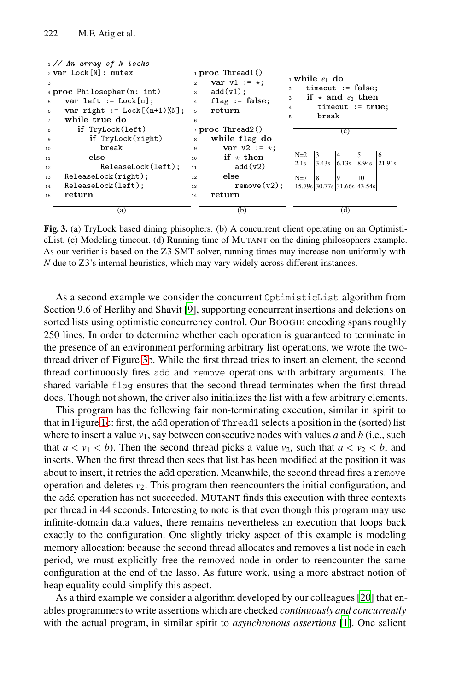<span id="page-12-0"></span>

|                                                  | 1 // An array of N locks    |                     |                    |                                                                        |                                                                                                                                                  |     |  |  |  |  |
|--------------------------------------------------|-----------------------------|---------------------|--------------------|------------------------------------------------------------------------|--------------------------------------------------------------------------------------------------------------------------------------------------|-----|--|--|--|--|
| 2 var Lock[N]: mutex                             |                             | $_1$ proc Thread1() |                    |                                                                        |                                                                                                                                                  |     |  |  |  |  |
| 3                                                |                             | $\overline{2}$      | var $v1 := *$ ;    |                                                                        | 1 while $e_1$ do<br>timeout := false;                                                                                                            |     |  |  |  |  |
|                                                  | 4 proc Philosopher (n: int) | $\overline{3}$      | $add(v1)$ ;        | $\overline{2}$                                                         |                                                                                                                                                  |     |  |  |  |  |
| var left $:=$ Lock[n];<br>5                      |                             | $\overline{4}$      | flag := false;     | if $\star$ and $e_2$ then<br>3<br>$timeout := true;$<br>$\overline{4}$ |                                                                                                                                                  |     |  |  |  |  |
| var right := $Lock[(n+1)\%N];$<br>6 <sup>1</sup> |                             | 5                   | return             |                                                                        |                                                                                                                                                  |     |  |  |  |  |
| $7^{\circ}$                                      | while true do               | 6                   |                    | 5.                                                                     | break                                                                                                                                            |     |  |  |  |  |
| $\mathbf{8}$                                     | if TryLock(left)            |                     | $7$ proc Thread2() |                                                                        | (c)                                                                                                                                              |     |  |  |  |  |
| 9                                                | if TryLock(right)           | $\mathbf{8}$        | while flag do      |                                                                        |                                                                                                                                                  |     |  |  |  |  |
| 10                                               | break                       | $\overline{9}$      | var $v2 := *;$     |                                                                        |                                                                                                                                                  |     |  |  |  |  |
| 11                                               | else                        |                     | 10 if $\star$ then |                                                                        |                                                                                                                                                  |     |  |  |  |  |
| 12                                               | ReleaseLock(left);          | 11                  | $\texttt{add(v2)}$ |                                                                        |                                                                                                                                                  |     |  |  |  |  |
| 13                                               | ReleaseLock(right);         | 12                  | else               |                                                                        | N=2 $\begin{vmatrix} 3 & 4 \\ 3.43s & 6.13s \\ 8 & 9 & 10 \end{vmatrix}$ $\begin{vmatrix} 5 & 6 \\ 8.94s & 21.91s \\ 10 & 10 & 15 \end{vmatrix}$ |     |  |  |  |  |
| 14                                               | ReleaseLock(left);          | 13                  | remove(v2);        |                                                                        | 15.79s 30.77s 31.66s 43.54s                                                                                                                      |     |  |  |  |  |
| 15                                               | return                      | 14                  | return             |                                                                        |                                                                                                                                                  |     |  |  |  |  |
|                                                  | (a)                         |                     | (b)                |                                                                        |                                                                                                                                                  | (d) |  |  |  |  |

**Fig. 3.** (a) TryLock based dining phisophers. (b) A concurrent client operating on an OptimisticList. (c) Modeling timeout. (d) Running time of MUTANT on the dining philosophers example. As our verifier is based on the Z3 SMT solver, running times may increase non-uniformly with *N* due to Z3's internal heuristics, which may vary widely across different instances.

As a second example we consider the concurrent OptimisticList algorithm from Section 9.6 of Herlihy and Shavit [\[9](#page-15-0)], supporting concurrent insertions and deletions on sorted lists using optimistic concurrency control. Our BOOGIE encoding spans roughly 250 lines. In order to determine whether each operation is guaranteed to terminate in the presence of an environment performing arbitrary list operations, we wrote the twothread driver of Figure [3b](#page-12-0). While the first thread tries to insert an element, the second thread continuously fires add and remove operations with arbitrary arguments. The shared variable flag ensures that the second thread terminates when the first thread does. Though not shown, the driver also initializes the list with a few arbitrary elements.

This program has the following fair non-terminating execution, similar in spirit to that in Figure [1c](#page-2-0): first, the add operation of Thread1 selects a position in the (sorted) list where to insert a value  $v_1$ , say between consecutive nodes with values *a* and *b* (i.e., such that  $a < v_1 < b$ ). Then the second thread picks a value  $v_2$ , such that  $a < v_2 < b$ , and inserts. When the first thread then sees that list has been modified at the position it was about to insert, it retries the add operation. Meanwhile, the second thread fires a remove operation and deletes  $v_2$ . This program then reencounters the initial configuration, and the add operation has not succeeded. MUTANT finds this execution with three contexts per thread in 44 seconds. Interesting to note is that even though this program may use infinite-domain data values, there remains nevertheless an execution that loops back exactly to the configuration. One slightly tricky aspect of this example is modeling memory allocation: because the second thread allocates and removes a list node in each period, we must explicitly free the removed node in order to reencounter the same configuration at the end of the lasso. As future work, using a more abstract notion of heap equality could simplify this aspect.

As a third example we consider a algorithm developed by our colleagues [\[20](#page-16-4)] that enables programmers to write assertions which are checked *continuously and concurrently* with the actual program, in similar spirit to *asynchronous assertions* [\[1\]](#page-14-0). One salient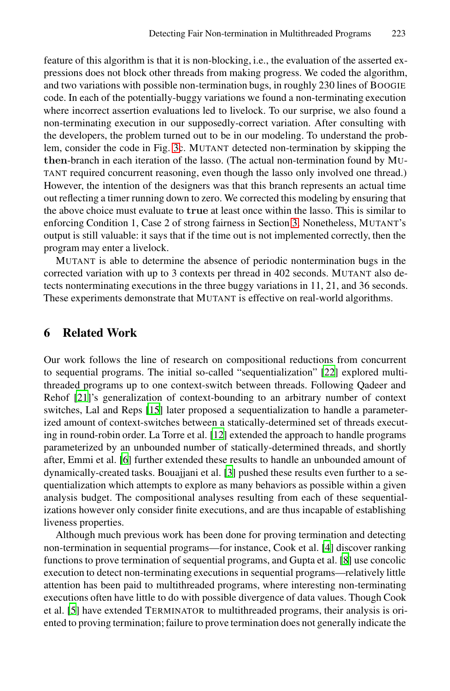feature of this algorithm is that it is non-blocking, i.e., the evaluation of the asserted expressions does not block other threads from making progress. We coded the algorithm, and two variations with possible non-termination bugs, in roughly 230 lines of BOOGIE code. In each of the potentially-buggy variations we found a non-terminating execution where incorrect assertion evaluations led to livelock. To our surprise, we also found a non-terminating execution in our supposedly-correct variation. After consulting with the developers, the problem turned out to be in our modeling. To understand the problem, consider the code in Fig. [3c](#page-12-0). MUTANT detected non-termination by skipping the **then**-branch in each iteration of the lasso. (The actual non-termination found by MU-TANT required concurrent reasoning, even though the lasso only involved one thread.) However, the intention of the designers was that this branch represents an actual time out reflecting a timer running down to zero. We corrected this modeling by ensuring that the above choice must evaluate to **true** at least once within the lasso. This is similar to enforcing Condition 1, Case 2 of strong fairness in Section [3.](#page-5-0) Nonetheless, MUTANT's output is still valuable: it says that if the time out is not implemented correctly, then the program may enter a livelock.

MUTANT is able to determine the absence of periodic nontermination bugs in the corrected variation with up to 3 contexts per thread in 402 seconds. MUTANT also detects nonterminating executions in the three buggy variations in 11, 21, and 36 seconds. These experiments demonstrate that MUTANT is effective on real-world algorithms.

### **6 Related Work**

Our work follows the line of research on compositional reductions from concurrent to sequential programs. The initial so-called "sequentialization" [\[22\]](#page-16-1) explored multithreaded programs up to one context-switch between threads. Following Qadeer and Rehof [\[21\]](#page-16-2)'s generalization of context-bounding to an arbitrary number of context switches, Lal and Reps [\[15](#page-15-3)] later proposed a sequentialization to handle a parameterized amount of context-switches between a statically-determined set of threads executing in round-robin order. La Torre et al. [\[12\]](#page-15-10) extended the approach to handle programs parameterized by an unbounded number of statically-determined threads, and shortly after, Emmi et al. [\[6](#page-15-11)] further extended these results to handle an unbounded amount of dynamically-created tasks. Bouajjani et al. [\[3\]](#page-15-4) pushed these results even further to a sequentialization which attempts to explore as many behaviors as possible within a given analysis budget. The compositional analyses resulting from each of these sequentializations however only consider finite executions, and are thus incapable of establishing liveness properties.

Although much previous work has been done for proving termination and detecting non-termination in sequential programs—for instance, Cook et al. [\[4](#page-15-12)] discover ranking functions to prove termination of sequential programs, and Gupta et al. [\[8\]](#page-15-13) use concolic execution to detect non-terminating executions in sequential programs—relatively little attention has been paid to multithreaded programs, where interesting non-terminating executions often have little to do with possible divergence of data values. Though Cook et al. [\[5\]](#page-15-14) have extended TERMINATOR to multithreaded programs, their analysis is oriented to proving termination; failure to prove termination does not generally indicate the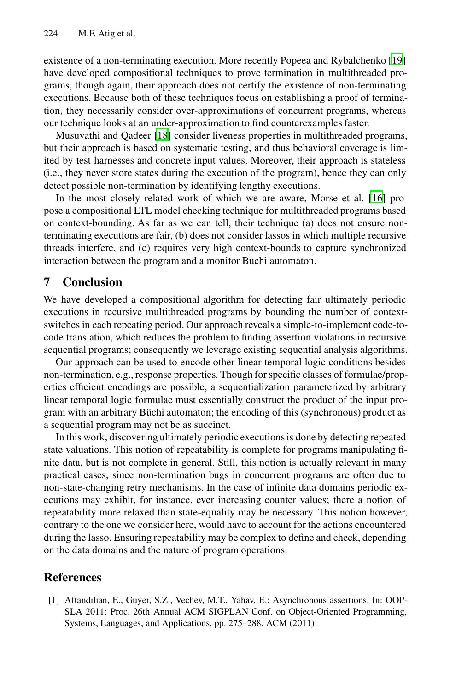existence of a non-terminating execution. More recently Popeea and Rybalchenko [\[19](#page-15-15)] have developed compositional techniques to prove termination in multithreaded programs, though again, their approach does not certify the existence of non-terminating executions. Because both of these techniques focus on establishing a proof of termination, they necessarily consider over-approximations of concurrent programs, whereas our technique looks at an under-approximation to find counterexamples faster.

Musuvathi and Qadeer [\[18](#page-15-16)] consider liveness properties in multithreaded programs, but their approach is based on systematic testing, and thus behavioral coverage is limited by test harnesses and concrete input values. Moreover, their approach is stateless (i.e., they never store states during the execution of the program), hence they can only detect possible non-termination by identifying lengthy executions.

In the most closely related work of which we are aware, Morse et al. [\[16](#page-15-17)] propose a compositional LTL model checking technique for multithreaded programs based on context-bounding. As far as we can tell, their technique (a) does not ensure nonterminating executions are fair, (b) does not consider lassos in which multiple recursive threads interfere, and (c) requires very high context-bounds to capture synchronized interaction between the program and a monitor Büchi automaton.

### **7 Conclusion**

We have developed a compositional algorithm for detecting fair ultimately periodic executions in recursive multithreaded programs by bounding the number of contextswitches in each repeating period. Our approach reveals a simple-to-implement code-tocode translation, which reduces the problem to finding assertion violations in recursive sequential programs; consequently we leverage existing sequential analysis algorithms.

Our approach can be used to encode other linear temporal logic conditions besides non-termination, e.g., response properties. Though for specific classes of formulae/properties efficient encodings are possible, a sequentialization parameterized by arbitrary linear temporal logic formulae must essentially construct the product of the input program with an arbitrary Büchi automaton; the encoding of this (synchronous) product as a sequential program may not be as succinct.

<span id="page-14-0"></span>In this work, discovering ultimately periodic executions is done by detecting repeated state valuations. This notion of repeatability is complete for programs manipulating finite data, but is not complete in general. Still, this notion is actually relevant in many practical cases, since non-termination bugs in concurrent programs are often due to non-state-changing retry mechanisms. In the case of infinite data domains periodic executions may exhibit, for instance, ever increasing counter values; there a notion of repeatability more relaxed than state-equality may be necessary. This notion however, contrary to the one we consider here, would have to account for the actions encountered during the lasso. Ensuring repeatability may be complex to define and check, depending on the data domains and the nature of program operations.

### **References**

[1] Aftandilian, E., Guyer, S.Z., Vechev, M.T., Yahav, E.: Asynchronous assertions. In: OOP-SLA 2011: Proc. 26th Annual ACM SIGPLAN Conf. on Object-Oriented Programming, Systems, Languages, and Applications, pp. 275–288. ACM (2011)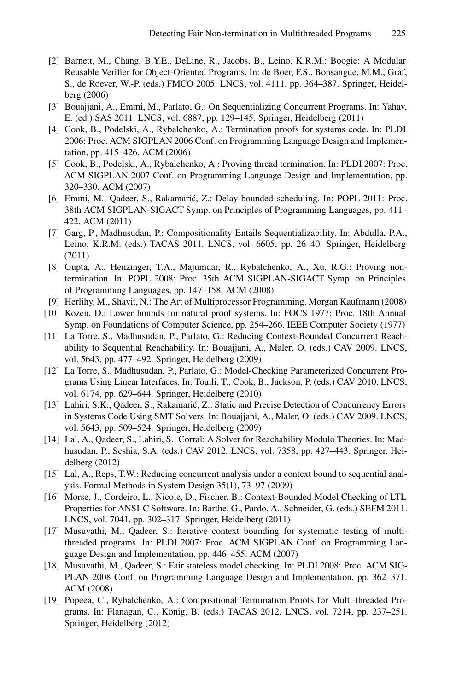- <span id="page-15-14"></span><span id="page-15-12"></span><span id="page-15-8"></span><span id="page-15-4"></span>[2] Barnett, M., Chang, B.Y.E., DeLine, R., Jacobs, B., Leino, K.R.M.: Boogie: A Modular Reusable Verifier for Object-Oriented Programs. In: de Boer, F.S., Bonsangue, M.M., Graf, S., de Roever, W.-P. (eds.) FMCO 2005. LNCS, vol. 4111, pp. 364–387. Springer, Heidelberg (2006)
- <span id="page-15-11"></span>[3] Bouajjani, A., Emmi, M., Parlato, G.: On Sequentializing Concurrent Programs. In: Yahav, E. (ed.) SAS 2011. LNCS, vol. 6887, pp. 129–145. Springer, Heidelberg (2011)
- <span id="page-15-7"></span>[4] Cook, B., Podelski, A., Rybalchenko, A.: Termination proofs for systems code. In: PLDI 2006: Proc. ACM SIGPLAN 2006 Conf. on Programming Language Design and Implementation, pp. 415–426. ACM (2006)
- <span id="page-15-13"></span>[5] Cook, B., Podelski, A., Rybalchenko, A.: Proving thread termination. In: PLDI 2007: Proc. ACM SIGPLAN 2007 Conf. on Programming Language Design and Implementation, pp. 320–330. ACM (2007)
- <span id="page-15-0"></span>[6] Emmi, M., Qadeer, S., Rakamarić, Z.: Delay-bounded scheduling. In: POPL 2011: Proc. 38th ACM SIGPLAN-SIGACT Symp. on Principles of Programming Languages, pp. 411– 422. ACM (2011)
- <span id="page-15-6"></span><span id="page-15-1"></span>[7] Garg, P., Madhusudan, P.: Compositionality Entails Sequentializability. In: Abdulla, P.A., Leino, K.R.M. (eds.) TACAS 2011. LNCS, vol. 6605, pp. 26–40. Springer, Heidelberg (2011)
- <span id="page-15-10"></span>[8] Gupta, A., Henzinger, T.A., Majumdar, R., Rybalchenko, A., Xu, R.G.: Proving nontermination. In: POPL 2008: Proc. 35th ACM SIGPLAN-SIGACT Symp. on Principles of Programming Languages, pp. 147–158. ACM (2008)
- <span id="page-15-5"></span>[9] Herlihy, M., Shavit, N.: The Art of Multiprocessor Programming. Morgan Kaufmann (2008)
- [10] Kozen, D.: Lower bounds for natural proof systems. In: FOCS 1977: Proc. 18th Annual Symp. on Foundations of Computer Science, pp. 254–266. IEEE Computer Society (1977)
- <span id="page-15-9"></span>[11] La Torre, S., Madhusudan, P., Parlato, G.: Reducing Context-Bounded Concurrent Reachability to Sequential Reachability. In: Bouajjani, A., Maler, O. (eds.) CAV 2009. LNCS, vol. 5643, pp. 477–492. Springer, Heidelberg (2009)
- <span id="page-15-3"></span>[12] La Torre, S., Madhusudan, P., Parlato, G.: Model-Checking Parameterized Concurrent Programs Using Linear Interfaces. In: Touili, T., Cook, B., Jackson, P. (eds.) CAV 2010. LNCS, vol. 6174, pp. 629–644. Springer, Heidelberg (2010)
- <span id="page-15-17"></span>[13] Lahiri, S.K., Qadeer, S., Rakamarić, Z.: Static and Precise Detection of Concurrency Errors in Systems Code Using SMT Solvers. In: Bouajjani, A., Maler, O. (eds.) CAV 2009. LNCS, vol. 5643, pp. 509–524. Springer, Heidelberg (2009)
- <span id="page-15-2"></span>[14] Lal, A., Qadeer, S., Lahiri, S.: Corral: A Solver for Reachability Modulo Theories. In: Madhusudan, P., Seshia, S.A. (eds.) CAV 2012. LNCS, vol. 7358, pp. 427–443. Springer, Heidelberg (2012)
- <span id="page-15-16"></span>[15] Lal, A., Reps, T.W.: Reducing concurrent analysis under a context bound to sequential analysis. Formal Methods in System Design 35(1), 73–97 (2009)
- <span id="page-15-15"></span>[16] Morse, J., Cordeiro, L., Nicole, D., Fischer, B.: Context-Bounded Model Checking of LTL Properties for ANSI-C Software. In: Barthe, G., Pardo, A., Schneider, G. (eds.) SEFM 2011. LNCS, vol. 7041, pp. 302–317. Springer, Heidelberg (2011)
- [17] Musuvathi, M., Qadeer, S.: Iterative context bounding for systematic testing of multithreaded programs. In: PLDI 2007: Proc. ACM SIGPLAN Conf. on Programming Language Design and Implementation, pp. 446–455. ACM (2007)
- [18] Musuvathi, M., Qadeer, S.: Fair stateless model checking. In: PLDI 2008: Proc. ACM SIG-PLAN 2008 Conf. on Programming Language Design and Implementation, pp. 362–371. ACM (2008)
- [19] Popeea, C., Rybalchenko, A.: Compositional Termination Proofs for Multi-threaded Programs. In: Flanagan, C., König, B. (eds.) TACAS 2012. LNCS, vol. 7214, pp. 237–251. Springer, Heidelberg (2012)